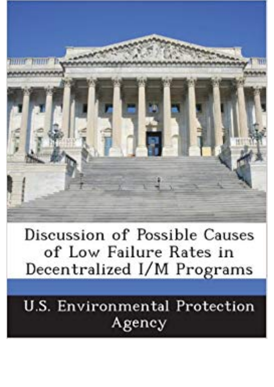

Discussion of Possible Causes of Low Failure Rates in Decentralized I/M Programs

**U.S. Environmental Protection** Agency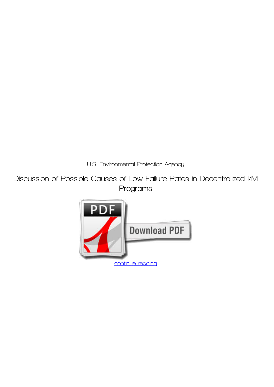*U.S. Environmental Protection Agency*

**Discussion of Possible Causes of Low Failure Rates in Decentralized I/M Programs**

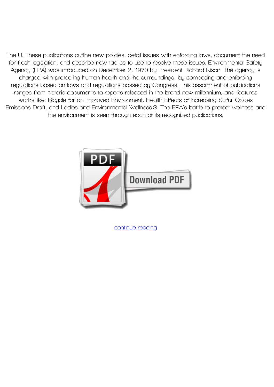**The U. These publications outline new policies, detail issues with enforcing laws, document the need for fresh legislation, and describe new tactics to use to resolve these issues. Environmental Safety Agency (EPA) was introduced on December 2, 1970 by President Richard Nixon. The agency is charged with protecting human health and the surroundings, by composing and enforcing regulations based on laws and regulations passed by Congress. This assortment of publications ranges from historic documents to reports released in the brand new millennium, and features works like: Bicycle for an improved Environment, Health Effects of Increasing Sulfur Oxides Emissions Draft, and Ladies and Environmental Wellness.S. The EPA's battle to protect wellness and the environment is seen through each of its recognized publications.**



**[continue reading](http://bit.ly/2Tge8Fv)**